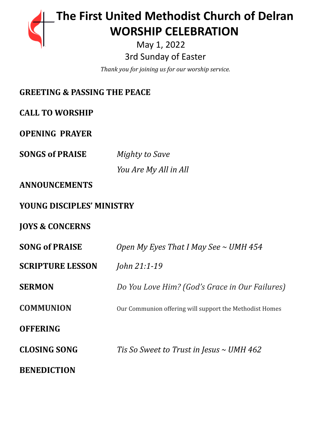# **The First United Methodist Church of Delran …… … WORSHIP CELEBRATION**

May 1, 2022 3rd Sunday of Easter

*Thank you for joining us for our worship service.*

| <b>GREETING &amp; PASSING THE PEACE</b> |                                                         |
|-----------------------------------------|---------------------------------------------------------|
| <b>CALL TO WORSHIP</b>                  |                                                         |
| <b>OPENING PRAYER</b>                   |                                                         |
| <b>SONGS of PRAISE</b>                  | Mighty to Save                                          |
|                                         | You Are My All in All                                   |
| <b>ANNOUNCEMENTS</b>                    |                                                         |
| YOUNG DISCIPLES' MINISTRY               |                                                         |
| <b>JOYS &amp; CONCERNS</b>              |                                                         |
| <b>SONG of PRAISE</b>                   | Open My Eyes That I May See $\sim$ UMH 454              |
| <b>SCRIPTURE LESSON</b>                 | John 21:1-19                                            |
| <b>SERMON</b>                           | Do You Love Him? (God's Grace in Our Failures)          |
| <b>COMMUNION</b>                        | Our Communion offering will support the Methodist Homes |
| <b>OFFERING</b>                         |                                                         |
| <b>CLOSING SONG</b>                     | Tis So Sweet to Trust in Jesus $\sim$ UMH 462           |
| <b>BENEDICTION</b>                      |                                                         |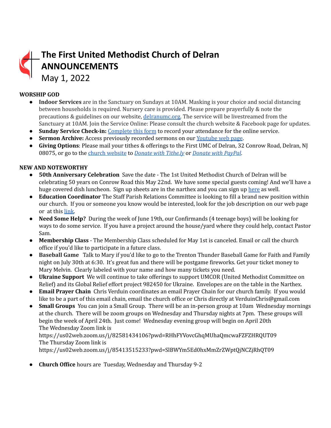## **The First United Methodist Church of Delran ANNOUNCEMENTS** May 1, 2022

#### **WORSHIP GOD**

- **Indoor Services** are in the Sanctuary on Sundays at 10AM. Masking is your choice and social distancing between households is required. Nursery care is provided. Please prepare prayerfully & note the precautions & guidelines on our website, [delranumc.org.](http://www.delranumc.org) The service will be livestreamed from the Sanctuary at 10AM. Join the Service Online: Please consult the church website & Facebook page for updates.
- **Sunday Service Check-in:** [Complete](http://www.delranumc.org/checkin) this form to record your attendance for the online service.
- **Sermon Archive:** Access previously recorded sermons on our [Youtube](https://www.youtube.com/results?search_query=delran+first+umc+channel) web page.
- **Giving Options**: Please mail your tithes & offerings to the First UMC of Delran, 32 Conrow Road, Delran, NJ 08075, or go to the church [website](http://www.delranumc.org) to *Donate with [Tithe.ly](https://tithe.ly/give?c=1379451)* or *[Donate](https://www.paypal.com/donate/?token=JgyQQyCzJSzuWb-4M_kVuUa8ORCkKdbhPebT-DwrySzFpiafxE6LsZCirp50sAsR0jT_60&country.x=US&locale.x=) with PayPal*.

#### **NEW AND NOTEWORTHY**

- **● 50th Anniversary Celebration** Save the date The 1st United Methodist Church of Delran will be celebrating 50 years on Conrow Road this May 22nd. We have some special guests coming! And we'll have a huge covered dish luncheon. Sign up sheets are in the narthex and you can sign up [here](https://www.perfectpotluck.com/DWLN5591) as well.
- **● Education Coordinator** The Staff Parish Relations Committee is looking to fill a brand new position within our church. If you or someone you know would be interested, look for the job description on our web page or at this [link.](http://delranumc.org/staff)
- **Need Some Help?** During the week of June 19th, our Confirmands (4 teenage boys) will be looking for ways to do some service. If you have a project around the house/yard where they could help, contact Pastor Sam.
- **Membership Class** The Membership Class scheduled for May 1st is canceled. Email or call the church office if you'd like to participate in a future class.
- **Baseball Game** Talk to Mary if you'd like to go to the Trenton Thunder Baseball Game for Faith and Family night on July 30th at 6:30. It's great fun and there will be postgame fireworks. Get your ticket money to Mary Melvin. Clearly labeled with your name and how many tickets you need.
- **Ukraine Support** We will continue to take offerings to support UMCOR (United Methodist Committee on Relief) and its Global Relief effort project 982450 for Ukraine. Envelopes are on the table in the Narthex.
- **● Email Prayer Chain** Chris Verduin coordinates an email Prayer Chain for our church family. If you would like to be a part of this email chain, email the church office or Chris directly at VerduinChris@gmail.com
- **● Small Groups** You can join a Small Group. There will be an in-person group at 10am Wednesday mornings at the church. There will be zoom groups on Wednesday and Thursday nights at 7pm. These groups will begin the week of April 24th. Just come! Wednesday evening group will begin on April 20th The Wednesday Zoom link is

#### https://us02web.zoom.us/j/82581434106?pwd=RHhFYVovcGhqMUhaQmcwaFZFZHRQUT09 The Thursday Zoom link is

https://us02web.zoom.us/j/85413515233?pwd=SlBWYm5Ed0hxMmZrZWptQjNCZjRhQT09

● **Church Office** hours are Tuesday, Wednesday and Thursday 9-2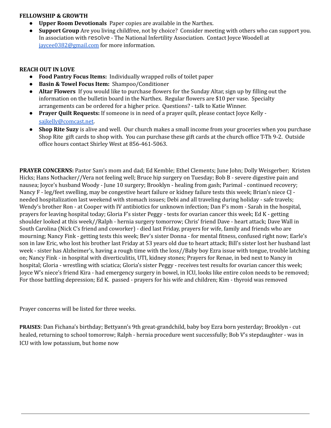#### **FELLOWSHIP & GROWTH**

- **Upper Room Devotionals** Paper copies are available in the Narthex.
- **Support Group** Are you living childfree, not by choice? Consider meeting with others who can support you. In association with resolve - The National Infertility Association. Contact Joyce Woodell at [jaycee0382@gmail.com](mailto:jaycee0382@gmail.com) for more information.

#### **REACH OUT IN LOVE**

- **Food Pantry Focus Items:** Individually wrapped rolls of toilet paper
- **Basin & Towel Focus Item:** Shampoo/Conditioner
- **● Altar Flowers** If you would like to purchase flowers for the Sunday Altar, sign up by filling out the information on the bulletin board in the Narthex. Regular flowers are \$10 per vase. Specialty arrangements can be ordered for a higher price. Questions? - talk to Katie Winner.
- **Prayer Quilt Requests:** If someone is in need of a prayer quilt, please contact Joyce Kelly [sajkelly@comcast.net](mailto:sajkelly@comcast.net).
- **● Shop Rite Suzy** is alive and well. Our church makes a small income from your groceries when you purchase Shop Rite gift cards to shop with. You can purchase these gift cards at the church office T-Th 9-2. Outside office hours contact Shirley West at 856-461-5063.

**PRAYER CONCERNS:** Pastor Sam's mom and dad; Ed Kemble; Ethel Clements; June John; Dolly Weisgerber; Kristen Hicks; Hans Nothacker//Vera not feeling well; Bruce hip surgery on Tuesday; Bob B - severe digestive pain and nausea; Joyce's husband Woody - June 10 surgery; Brooklyn - healing from gash; Parimal - continued recovery; Nancy F - leg/feet swelling, may be congestive heart failure or kidney failure tests this week; Brian's niece CJ needed hospitalization last weekend with stomach issues; Debi and all traveling during holiday - safe travels; Wendy's brother Ron - at Cooper with IV antibiotics for unknown infection; Dan F's mom - Sarah in the hospital, prayers for leaving hospital today; Gloria F's sister Peggy - tests for ovarian cancer this week; Ed K - getting shoulder looked at this week//Ralph - hernia surgery tomorrow; Chris' friend Dave - heart attack; Dave Wall in South Carolina (Nick C's friend and coworker) - died last Friday, prayers for wife, family and friends who are mourning; Nancy Fink - getting tests this week; Bev's sister Donna - for mental fitness, confused right now; Earle's son in law Eric, who lost his brother last Friday at 53 years old due to heart attack; Bill's sister lost her husband last week - sister has Alzheimer's, having a rough time with the loss//Baby boy Ezra issue with tongue, trouble latching on; Nancy Fink - in hospital with diverticulitis, UTI, kidney stones; Prayers for Renae, in bed next to Nancy in hospital; Gloria - wrestling with sciatica; Gloria's sister Peggy - receives test results for ovarian cancer this week; Joyce W's niece's friend Kira - had emergency surgery in bowel, in ICU, looks like entire colon needs to be removed; For those battling depression; Ed K. passed - prayers for his wife and children; Kim - thyroid was removed

Prayer concerns will be listed for three weeks.

**PRAISES**: Dan Fichana's birthday; Bettyann's 9th great-grandchild, baby boy Ezra born yesterday; Brooklyn - cut healed, returning to school tomorrow; Ralph - hernia procedure went successfully; Bob V's stepdaughter - was in ICU with low potassium, but home now